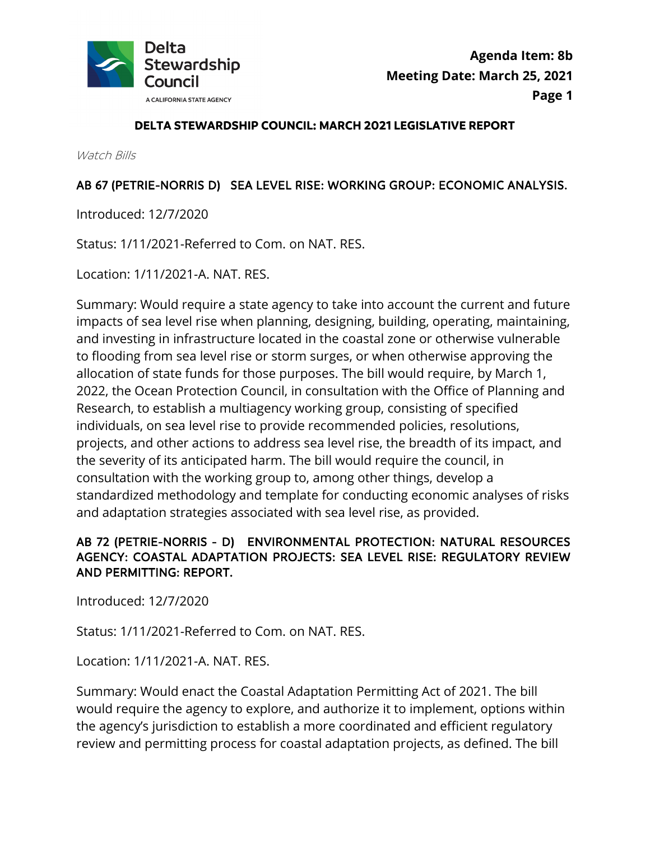

#### **DELTA STEWARDSHIP COUNCIL: MARCH 2021 LEGISLATIVE REPORT**

Watch Bills

#### AB 67 (PETRIE-NORRIS D) SEA LEVEL RISE: WORKING GROUP: ECONOMIC ANALYSIS.

Introduced: 12/7/2020

Status: 1/11/2021-Referred to Com. on NAT. RES.

Location: 1/11/2021-A. NAT. RES.

Summary: Would require a state agency to take into account the current and future impacts of sea level rise when planning, designing, building, operating, maintaining, and investing in infrastructure located in the coastal zone or otherwise vulnerable to flooding from sea level rise or storm surges, or when otherwise approving the allocation of state funds for those purposes. The bill would require, by March 1, 2022, the Ocean Protection Council, in consultation with the Office of Planning and Research, to establish a multiagency working group, consisting of specified individuals, on sea level rise to provide recommended policies, resolutions, projects, and other actions to address sea level rise, the breadth of its impact, and the severity of its anticipated harm. The bill would require the council, in consultation with the working group to, among other things, develop a standardized methodology and template for conducting economic analyses of risks and adaptation strategies associated with sea level rise, as provided.

### AB 72 (PETRIE-NORRIS - D) ENVIRONMENTAL PROTECTION: NATURAL RESOURCES AGENCY: COASTAL ADAPTATION PROJECTS: SEA LEVEL RISE: REGULATORY REVIEW AND PERMITTING: REPORT.

Introduced: 12/7/2020

Status: 1/11/2021-Referred to Com. on NAT. RES. Location: 1/11/2021-A. NAT. RES.

Summary: Would enact the Coastal Adaptation Permitting Act of 2021. The bill would require the agency to explore, and authorize it to implement, options within the agency's jurisdiction to establish a more coordinated and efficient regulatory review and permitting process for coastal adaptation projects, as defined. The bill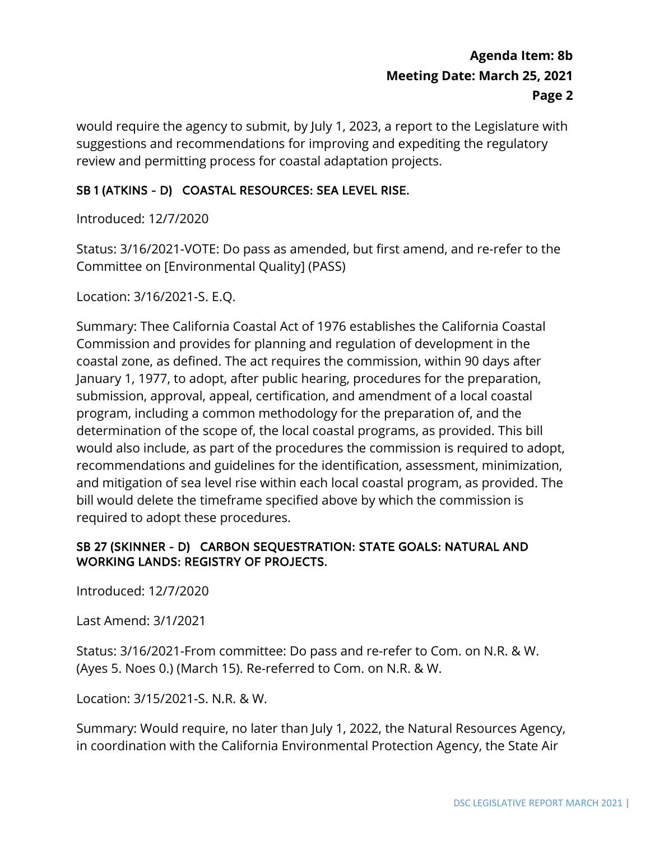would require the agency to submit, by July 1, 2023, a report to the Legislature with suggestions and recommendations for improving and expediting the regulatory review and permitting process for coastal adaptation projects.

### SB 1 (ATKINS - D) COASTAL RESOURCES: SEA LEVEL RISE.

Introduced: 12/7/2020

Status: 3/16/2021-VOTE: Do pass as amended, but first amend, and re-refer to the Committee on [Environmental Quality] (PASS)

Location: 3/16/2021-S. E.Q.

 Commission and provides for planning and regulation of development in the bill would delete the timeframe specified above by which the commission is required to adopt these procedures. Summary: Thee California Coastal Act of 1976 establishes the California Coastal coastal zone, as defined. The act requires the commission, within 90 days after January 1, 1977, to adopt, after public hearing, procedures for the preparation, submission, approval, appeal, certification, and amendment of a local coastal program, including a common methodology for the preparation of, and the determination of the scope of, the local coastal programs, as provided. This bill would also include, as part of the procedures the commission is required to adopt, recommendations and guidelines for the identification, assessment, minimization, and mitigation of sea level rise within each local coastal program, as provided. The

#### SB 27 (SKINNER - D) CARBON SEQUESTRATION: STATE GOALS: NATURAL AND WORKING LANDS: REGISTRY OF PROJECTS.

Introduced: 12/7/2020

Last Amend: 3/1/2021

Status: 3/16/2021-From committee: Do pass and re-refer to Com. on N.R. & W. (Ayes 5. Noes 0.) (March 15). Re-referred to Com. on N.R. & W.

Location: 3/15/2021-S. N.R. & W.

Summary: Would require, no later than July 1, 2022, the Natural Resources Agency, in coordination with the California Environmental Protection Agency, the State Air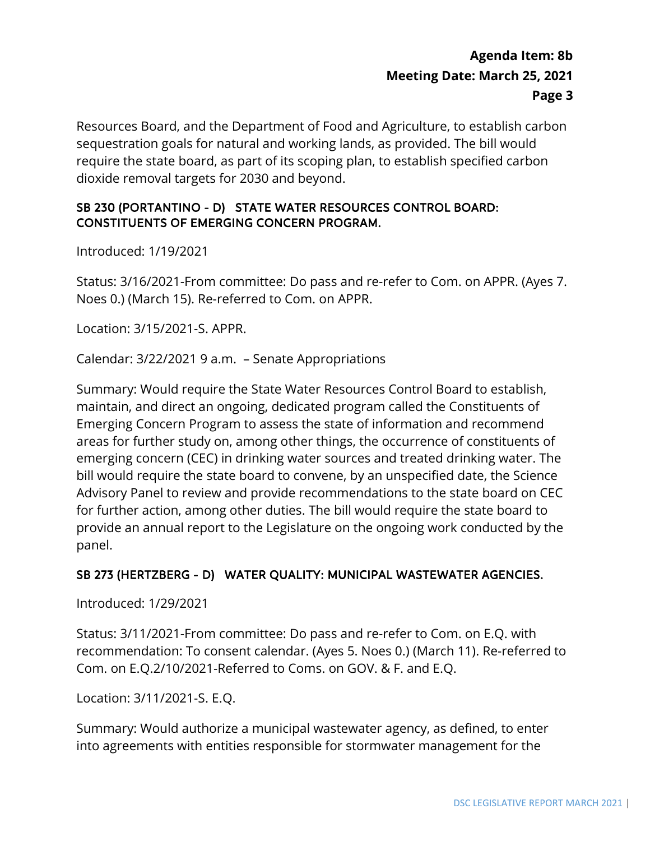Resources Board, and the Department of Food and Agriculture, to establish carbon sequestration goals for natural and working lands, as provided. The bill would require the state board, as part of its scoping plan, to establish specified carbon dioxide removal targets for 2030 and beyond.

#### SB 230 (PORTANTINO - D) STATE WATER RESOURCES CONTROL BOARD: CONSTITUENTS OF EMERGING CONCERN PROGRAM.

Introduced: 1/19/2021

Status: 3/16/2021-From committee: Do pass and re-refer to Com. on APPR. (Ayes 7. Noes 0.) (March 15). Re-referred to Com. on APPR.

Location: 3/15/2021-S. APPR.

Calendar: 3/22/2021 9 a.m. – Senate Appropriations

 Advisory Panel to review and provide recommendations to the state board on CEC Summary: Would require the State Water Resources Control Board to establish, maintain, and direct an ongoing, dedicated program called the Constituents of Emerging Concern Program to assess the state of information and recommend areas for further study on, among other things, the occurrence of constituents of emerging concern (CEC) in drinking water sources and treated drinking water. The bill would require the state board to convene, by an unspecified date, the Science for further action, among other duties. The bill would require the state board to provide an annual report to the Legislature on the ongoing work conducted by the panel.

#### SB 273 (HERTZBERG - D) WATER QUALITY: MUNICIPAL WASTEWATER AGENCIES.

Introduced: 1/29/2021

Status: 3/11/2021-From committee: Do pass and re-refer to Com. on E.Q. with recommendation: To consent calendar. (Ayes 5. Noes 0.) (March 11). Re-referred to Com. on E.Q.2/10/2021-Referred to Coms. on GOV. & F. and E.Q.

Location: 3/11/2021-S. E.Q.

Summary: Would authorize a municipal wastewater agency, as defined, to enter into agreements with entities responsible for stormwater management for the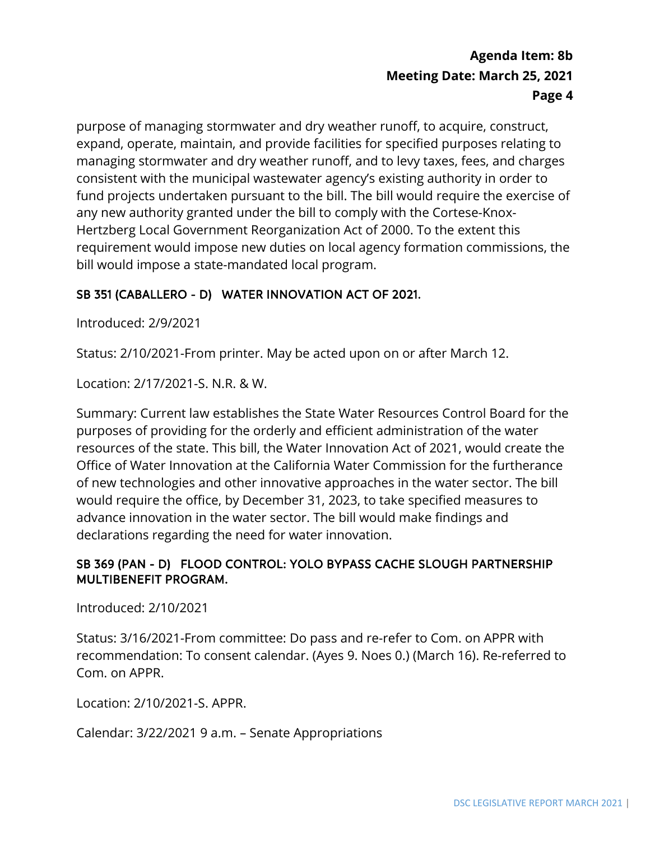consistent with the municipal wastewater agency's existing authority in order to fund projects undertaken pursuant to the bill. The bill would require the exercise of Hertzberg Local Government Reorganization Act of 2000. To the extent this bill would impose a state-mandated local program. purpose of managing stormwater and dry weather runoff, to acquire, construct, expand, operate, maintain, and provide facilities for specified purposes relating to managing stormwater and dry weather runoff, and to levy taxes, fees, and charges any new authority granted under the bill to comply with the Cortese-Knoxrequirement would impose new duties on local agency formation commissions, the

### SB 351 (CABALLERO - D) WATER INNOVATION ACT OF 2021.

Introduced: 2/9/2021

Status: 2/10/2021-From printer. May be acted upon on or after March 12.

Location: 2/17/2021-S. N.R. & W.

 Summary: Current law establishes the State Water Resources Control Board for the purposes of providing for the orderly and efficient administration of the water resources of the state. This bill, the Water Innovation Act of 2021, would create the Office of Water Innovation at the California Water Commission for the furtherance of new technologies and other innovative approaches in the water sector. The bill would require the office, by December 31, 2023, to take specified measures to advance innovation in the water sector. The bill would make findings and declarations regarding the need for water innovation.

#### SB 369 (PAN - D) FLOOD CONTROL: YOLO BYPASS CACHE SLOUGH PARTNERSHIP MULTIBENEFIT PROGRAM.

Introduced: 2/10/2021

Status: 3/16/2021-From committee: Do pass and re-refer to Com. on APPR with recommendation: To consent calendar. (Ayes 9. Noes 0.) (March 16). Re-referred to Com. on APPR.

Location: 2/10/2021-S. APPR.

Calendar: 3/22/2021 9 a.m. – Senate Appropriations